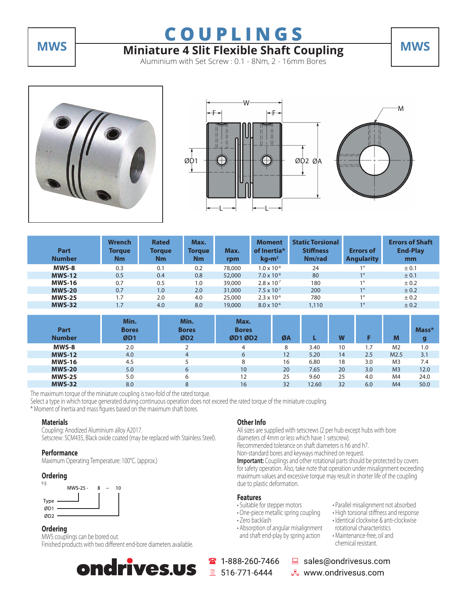# **MWS Miniature 4 Slit Flexible Shaft Coupling MWS**

Aluminium with Set Screw : 0.1 - 8Nm, 2 - 16mm Bores







| Part<br><b>Number</b> | <b>Wrench</b><br><b>Torque</b><br>Nm | <b>Rated</b><br>Torque<br>Nm | Max.<br>Torque<br>Nm | Max.<br>rpm | <b>Moment</b><br>of Inertia*<br>kg·m <sup>2</sup> | <b>Static Torsional</b><br><b>Stiffness</b><br>Nm/rad | <b>Errors of</b><br><b>Angularity</b> | <b>Errors of Shaft</b><br><b>End-Play</b><br>mm |
|-----------------------|--------------------------------------|------------------------------|----------------------|-------------|---------------------------------------------------|-------------------------------------------------------|---------------------------------------|-------------------------------------------------|
| MWS-8                 | 0.3                                  | 0.1                          | 0.2                  | 78,000      | $1.0 \times 10^{-8}$                              | 24                                                    | 10                                    | ± 0.1                                           |
| <b>MWS-12</b>         | 0.5                                  | 0.4                          | 0.8                  | 52,000      | $7.0 \times 10^{-8}$                              | 80                                                    | 10                                    | ± 0.1                                           |
| <b>MWS-16</b>         | 0.7                                  | 0.5                          | 1.0                  | 39,000      | $2.8 \times 10^{-7}$                              | 180                                                   | 10                                    | ± 0.2                                           |
| <b>MWS-20</b>         | 0.7                                  | 1.0                          | 2.0                  | 31,000      | $7.5 \times 10^{-7}$                              | 200                                                   | 10                                    | $\pm$ 0.2                                       |
| <b>MWS-25</b>         | 1.7                                  | 2.0                          | 4.0                  | 25,000      | $2.3 \times 10^{-6}$                              | 780                                                   | 10                                    | ± 0.2                                           |
| <b>MWS-32</b>         | 1.7                                  | 4.0                          | 8.0                  | 19,000      | $8.0 \times 10^{-6}$                              | 1,110                                                 | 10                                    | ± 0.2                                           |

| Part<br><b>Number</b> | Min.<br><b>Bores</b><br>ØD1 | Min.<br><b>Bores</b><br>ØD2 | Max.<br><b>Bores</b><br>ØD1 ØD2 | ØA |       | W  |     | M                | $Mass*$ |
|-----------------------|-----------------------------|-----------------------------|---------------------------------|----|-------|----|-----|------------------|---------|
| MWS-8                 | 2.0                         |                             | 4                               | 8  | 3.40  | 10 | ۱.7 | M <sub>2</sub>   | 1.0     |
| <b>MWS-12</b>         | 4.0                         | 4                           | 6                               | 12 | 5.20  | 14 | 2.5 | M <sub>2.5</sub> | 3.1     |
| <b>MWS-16</b>         | 4.5                         |                             | 8                               | 16 | 6.80  | 18 | 3.0 | M <sub>3</sub>   | 7.4     |
| <b>MWS-20</b>         | 5.0                         | 6                           | 10                              | 20 | 7.65  | 20 | 3.0 | M <sub>3</sub>   | 12.0    |
| <b>MWS-25</b>         | 5.0                         | 6                           | 12                              | 25 | 9.60  | 25 | 4.0 | M <sub>4</sub>   | 24.0    |
| <b>MWS-32</b>         | 8.0                         | 8                           | 16                              | 32 | 12.60 | 32 | 6.0 | M <sub>4</sub>   | 50.0    |

The maximum torque of the miniature coupling is two-fold of the rated torque.

Select a type in which torque generated during continuous operation does not exceed the rated torque of the miniature coupling. \* Moment of Inertia and mass figures based on the maximum shaft bores.

### **Materials**

Coupling: Anodized Aluminium alloy A2017. Setscrew: SCM435, Black oxide coated (may be replaced with Stainless Steel).

### **Performance**

Maximum Operating Temperature: 100°C. (approx.)

### **Ordering**



## **Ordering**

MWS couplings can be bored out. Finished products with two different end-bore diameters available.

ondrives.us

## **Other Info**

All sizes are supplied with setscrews (2 per hub except hubs with bore diameters of 4mm or less which have 1 setscrew). Recommended tolerance on shaft diameters is h6 and h7.

Non-standard bores and keyways machined on request.

**Important:** Couplings and other rotational parts should be protected by covers for safety operation. Also, take note that operation under misalignment exceeding maximum values and excessive torque may result in shorter life of the coupling due to plastic deformation.

### **Features**

- Suitable for stepper motors
- One-piece metallic spring coupling
- Zero backlash
- Absorption of angular misalignment and shaft end-play by spring action

1-888-260-7466 ■ 516-771-6444

- Parallel misalignment not absorbed
- High torsional stiffness and response • Identical clockwise & anti-clockwise
- rotational characteristics
	- Maintenance-free, oil and chemical resistant.

sales@ondrivesus.com ■■ www.ondrivesus.com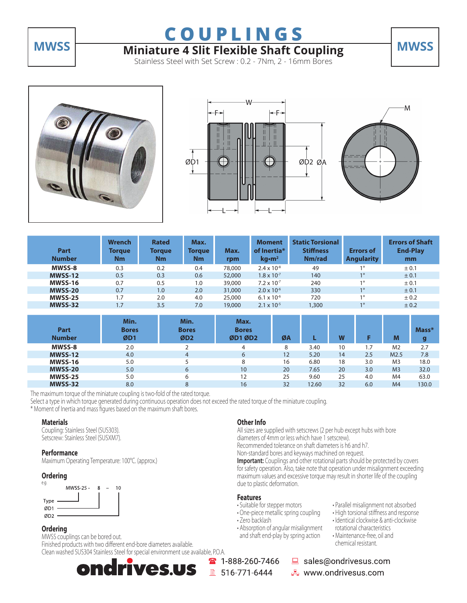

# **MWSS Miniature 4 Slit Flexible Shaft Coupling MWSS**

Stainless Steel with Set Screw : 0.2 - 7Nm, 2 - 16mm Bores







| Part<br><b>Number</b> | <b>Wrench</b><br><b>Torque</b><br><b>Nm</b> | <b>Rated</b><br>Torque<br><b>Nm</b> | Max.<br>Torque<br>Nm | Max.<br>rpm | <b>Moment</b><br>of Inertia*<br>$\text{kg}\cdot\text{m}^2$ | <b>Static Torsional</b><br><b>Stiffness</b><br>Nm/rad | <b>Errors of</b><br><b>Angularity</b> | <b>Errors of Shaft</b><br><b>End-Play</b><br>mm |
|-----------------------|---------------------------------------------|-------------------------------------|----------------------|-------------|------------------------------------------------------------|-------------------------------------------------------|---------------------------------------|-------------------------------------------------|
| <b>MWSS-8</b>         | 0.3                                         | 0.2                                 | 0.4                  | 78,000      | $2.4 \times 10^{-8}$                                       | 49                                                    | 10                                    | ± 0.1                                           |
| <b>MWSS-12</b>        | 0.5                                         | 0.3                                 | 0.6                  | 52,000      | $1.8 \times 10^{-7}$                                       | 140                                                   | 10                                    | ± 0.1                                           |
| <b>MWSS-16</b>        | 0.7                                         | 0.5                                 | 1.0                  | 39,000      | $7.2 \times 10^{-7}$                                       | 240                                                   | 10                                    | ± 0.1                                           |
| <b>MWSS-20</b>        | 0.7                                         | 1.0                                 | 2.0                  | 31,000      | $2.0 \times 10^{-6}$                                       | 330                                                   | 10                                    | ± 0.1                                           |
| <b>MWSS-25</b>        | 1.7                                         | 2.0                                 | 4.0                  | 25,000      | $6.1 \times 10^{-6}$                                       | 720                                                   | 10                                    | ± 0.2                                           |
| <b>MWSS-32</b>        | 1.7                                         | 3.5                                 | 7.0                  | 19,000      | $2.1 \times 10^{-5}$                                       | 1,300                                                 | 10                                    | ± 0.2                                           |

| Part<br><b>Number</b> | Min.<br><b>Bores</b><br>ØD1 | Min.<br><b>Bores</b><br>ØD2 | Max.<br><b>Bores</b><br>ØD1 ØD2 | ØA |       | W  |     | M                | $Mass*$<br>g |
|-----------------------|-----------------------------|-----------------------------|---------------------------------|----|-------|----|-----|------------------|--------------|
| MWSS-8                | 2.0                         |                             | 4                               | 8  | 3.40  | 10 | ۱.7 | M <sub>2</sub>   | 2.7          |
| <b>MWSS-12</b>        | 4.0                         | 4                           | 6                               | 12 | 5.20  | 14 | 2.5 | M <sub>2.5</sub> | 7.8          |
| <b>MWSS-16</b>        | 5.0                         |                             | 8                               | 16 | 6.80  | 18 | 3.0 | M <sub>3</sub>   | 18.0         |
| <b>MWSS-20</b>        | 5.0                         | 6                           | 10                              | 20 | 7.65  | 20 | 3.0 | M <sub>3</sub>   | 32.0         |
| <b>MWSS-25</b>        | 5.0                         | 6                           | 12                              | 25 | 9.60  | 25 | 4.0 | M <sub>4</sub>   | 63.0         |
| <b>MWSS-32</b>        | 8.0                         | 8                           | 16                              | 32 | 12.60 | 32 | 6.0 | M <sub>4</sub>   | 130.0        |

The maximum torque of the miniature coupling is two-fold of the rated torque.

Select a type in which torque generated during continuous operation does not exceed the rated torque of the miniature coupling. \* Moment of Inertia and mass figures based on the maximum shaft bores.

### **Materials**

Coupling: Stainless Steel (SUS303). Setscrew: Stainless Steel (SUSXM7).

### **Performance**

Maximum Operating Temperature: 100°C. (approx.)

### **Ordering**



## **Ordering**

### MWSS couplings can be bored out.

Finished products with two different end-bore diameters available. Clean washed SUS304 Stainless Steel for special environment use available, P.O.A.

### **Other Info**

All sizes are supplied with setscrews (2 per hub except hubs with bore diameters of 4mm or less which have 1 setscrew). Recommended tolerance on shaft diameters is h6 and h7.

Non-standard bores and keyways machined on request.

**Important:** Couplings and other rotational parts should be protected by covers for safety operation. Also, take note that operation under misalignment exceeding maximum values and excessive torque may result in shorter life of the coupling due to plastic deformation.

### **Features**

2 1-888-260-7466

■ 516-771-6444

- Suitable for stepper motors
- One-piece metallic spring coupling
- Zero backlash
- Absorption of angular misalignment and shaft end-play by spring action

 rotational characteristics • Maintenance-free, oil and chemical resistant.

sales@ondrivesus.com

■■ www.ondrivesus.com

• Parallel misalignment not absorbed • High torsional stiffness and response • Identical clockwise & anti-clockwise

ndrives.us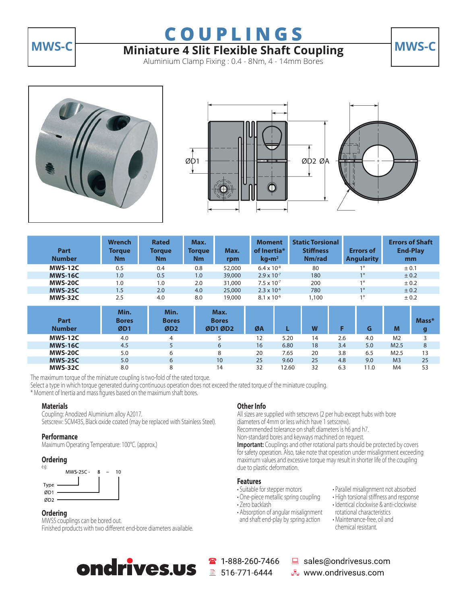

# **MWS-C Miniature 4 Slit Flexible Shaft Coupling MWS-C**

Aluminium Clamp Fixing : 0.4 - 8Nm, 4 - 14mm Bores







| <b>Part</b><br><b>Number</b> | <b>Wrench</b><br><b>Torque</b><br>Nm | <b>Rated</b><br><b>Torque</b><br>Nm | Max.<br><b>Torque</b><br>Nm | Max.<br>rpm                     | <b>Moment</b><br>of Inertia*<br>kg·m <sup>2</sup> |       | <b>Static Torsional</b><br><b>Stiffness</b><br>Nm/rad | <b>Errors of</b><br><b>Angularity</b> |                  | <b>Errors of Shaft</b><br><b>End-Play</b><br>mm |
|------------------------------|--------------------------------------|-------------------------------------|-----------------------------|---------------------------------|---------------------------------------------------|-------|-------------------------------------------------------|---------------------------------------|------------------|-------------------------------------------------|
| <b>MWS-12C</b>               | 0.5                                  | 0.4                                 | 0.8                         | 52,000                          | $6.4 \times 10^{-8}$                              |       | 80                                                    | $1^{\circ}$                           | ± 0.1            |                                                 |
| <b>MWS-16C</b>               | 1.0                                  | 0.5                                 | 1.0                         | 39,000                          | $2.9 \times 10^{-7}$                              |       | 180                                                   | $1^{\circ}$                           |                  | ± 0.2                                           |
| <b>MWS-20C</b>               | 1.0                                  | 1.0                                 | 2.0                         | 31,000                          | $7.5 \times 10^{-7}$                              |       | $1^{\circ}$<br>200                                    |                                       |                  | ± 0.2                                           |
| <b>MWS-25C</b>               | 1.5                                  | 2.0                                 | 4.0                         | 25,000                          | $2.3 \times 10^{-6}$                              |       | $1^{\circ}$<br>± 0.2<br>780                           |                                       |                  |                                                 |
| <b>MWS-32C</b>               | 2.5                                  | 4.0                                 | 8.0                         | 19,000                          | $8.1 \times 10^{-6}$                              |       | 1,100                                                 | $1^{\circ}$                           | ± 0.2            |                                                 |
| <b>Part</b><br><b>Number</b> | Min.<br><b>Bores</b><br>ØD1          | Min.<br><b>Bores</b><br>ØD2         |                             | Max.<br><b>Bores</b><br>ØD1 ØD2 | ØA                                                |       | W                                                     | F<br>G                                | M                | Mass*<br>g                                      |
| <b>MWS-12C</b>               | 4.0                                  | 4                                   |                             | 5                               | 12                                                | 5.20  | 14                                                    | 2.6<br>4.0                            | M <sub>2</sub>   | 3                                               |
| <b>MWS-16C</b>               | 4.5                                  | 5                                   |                             | 6                               | 16                                                | 6.80  | 18                                                    | 3.4<br>5.0                            | M2.5             | 8                                               |
| <b>MWS-20C</b>               | 5.0                                  | 6                                   |                             | 8                               | 20                                                | 7.65  | 20                                                    | 3.8<br>6.5                            | M <sub>2.5</sub> | 13                                              |
| <b>MWS-25C</b>               | 5.0                                  | 6                                   |                             | 10                              | 25                                                | 9.60  | 25                                                    | 9.0<br>4.8                            | M <sub>3</sub>   | 25                                              |
| <b>MWS-32C</b>               | 8.0                                  | 8                                   |                             | 14                              | 32                                                | 12.60 | 32                                                    | 6.3<br>11.0                           | M4               | 53                                              |

The maximum torque of the miniature coupling is two-fold of the rated torque.

Select a type in which torque generated during continuous operation does not exceed the rated torque of the miniature coupling.

\* Moment of Inertia and mass figures based on the maximum shaft bores.

### **Materials**

Coupling: Anodized Aluminium alloy A2017. Setscrew: SCM435, Black oxide coated (may be replaced with Stainless Steel).

### **Performance**

Maximum Operating Temperature: 100°C. (approx.)

### **Ordering**



### **Ordering**

MWSS couplings can be bored out. Finished products with two different end-bore diameters available. **Other Info** All sizes are supplied with setscrews (2 per hub except hubs with bore

diameters of 4mm or less which have 1 setscrew). Recommended tolerance on shaft diameters is h6 and h7.

Non-standard bores and keyways machined on request.

**Important:** Couplings and other rotational parts should be protected by covers for safety operation. Also, take note that operation under misalignment exceeding maximum values and excessive torque may result in shorter life of the coupling due to plastic deformation.

#### **Features**

- Suitable for stepper motors
- One-piece metallic spring coupling
- Zero backlash
- Absorption of angular misalignment and shaft end-play by spring action
- Parallel misalignment not absorbed
	- High torsional stiffness and response
	- Identical clockwise & anti-clockwise rotational characteristics
	- Maintenance-free, oil and chemical resistant.



288-260-7466 ■ 516-771-6444

sales@ondrivesus.com ■■ www.ondrivesus.com